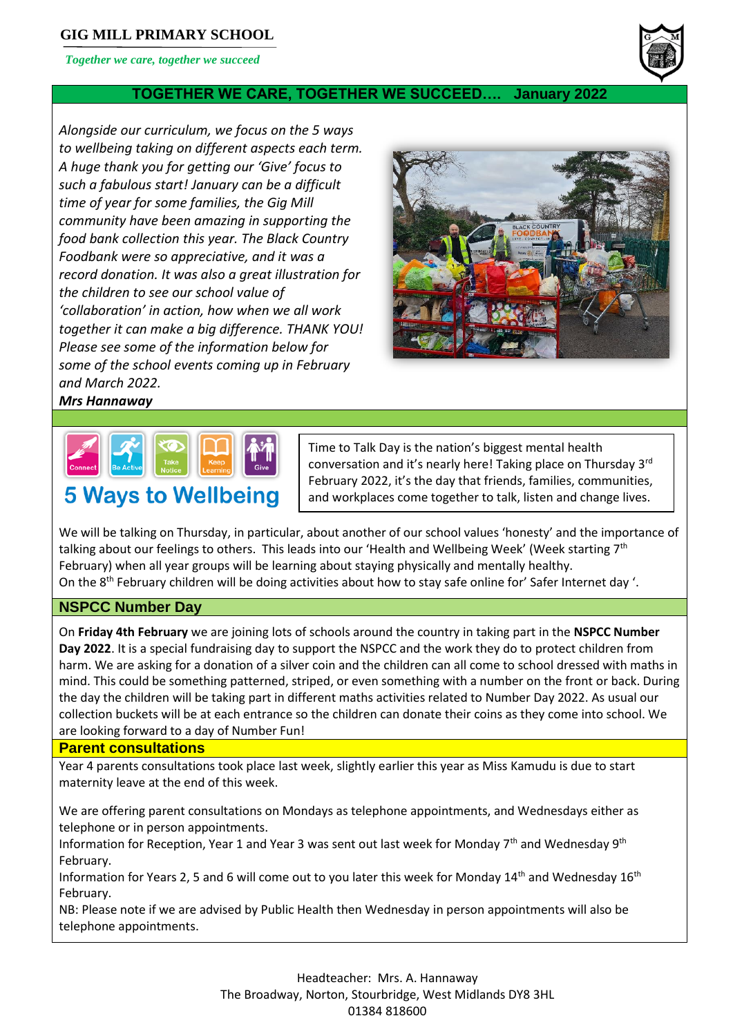# **GIG MILL PRIMARY SCHOOL**

*Together we care, together we succeed*

# **TOGETHER WE CARE, TOGETHER WE SUCCEED…. January 2022**

*Alongside our curriculum, we focus on the 5 ways to wellbeing taking on different aspects each term. A huge thank you for getting our 'Give' focus to such a fabulous start! January can be a difficult time of year for some families, the Gig Mill community have been amazing in supporting the food bank collection this year. The Black Country Foodbank were so appreciative, and it was a record donation. It was also a great illustration for the children to see our school value of 'collaboration' in action, how when we all work together it can make a big difference. THANK YOU! Please see some of the information below for some of the school events coming up in February and March 2022.*



# *Mrs Hannaway*



Time to Talk Day is the nation's biggest mental health conversation and it's nearly here! Taking place on Thursday 3rd February 2022, it's the day that friends, families, communities, and workplaces come together to talk, listen and change lives.

We will be talking on Thursday, in particular, about another of our school values 'honesty' and the importance of talking about our feelings to others. This leads into our 'Health and Wellbeing Week' (Week starting 7<sup>th</sup> February) when all year groups will be learning about staying physically and mentally healthy. On the 8th February children will be doing activities about how to stay safe online for' Safer Internet day '.

#### **NSPCC Number Day**

On **Friday 4th February** we are joining lots of schools around the country in taking part in the **NSPCC Number Day 2022**. It is a special fundraising day to support the NSPCC and the work they do to protect children from harm. We are asking for a donation of a silver coin and the children can all come to school dressed with maths in mind. This could be something patterned, striped, or even something with a number on the front or back. During the day the children will be taking part in different maths activities related to Number Day 2022. As usual our collection buckets will be at each entrance so the children can donate their coins as they come into school. We are looking forward to a day of Number Fun!

#### **Parent consultations**

Year 4 parents consultations took place last week, slightly earlier this year as Miss Kamudu is due to start maternity leave at the end of this week.

We are offering parent consultations on Mondays as telephone appointments, and Wednesdays either as telephone or in person appointments.

Information for Reception, Year 1 and Year 3 was sent out last week for Monday 7<sup>th</sup> and Wednesday 9<sup>th</sup> February.

Information for Years 2, 5 and 6 will come out to you later this week for Monday 14<sup>th</sup> and Wednesday 16<sup>th</sup> February.

NB: Please note if we are advised by Public Health then Wednesday in person appointments will also be telephone appointments.